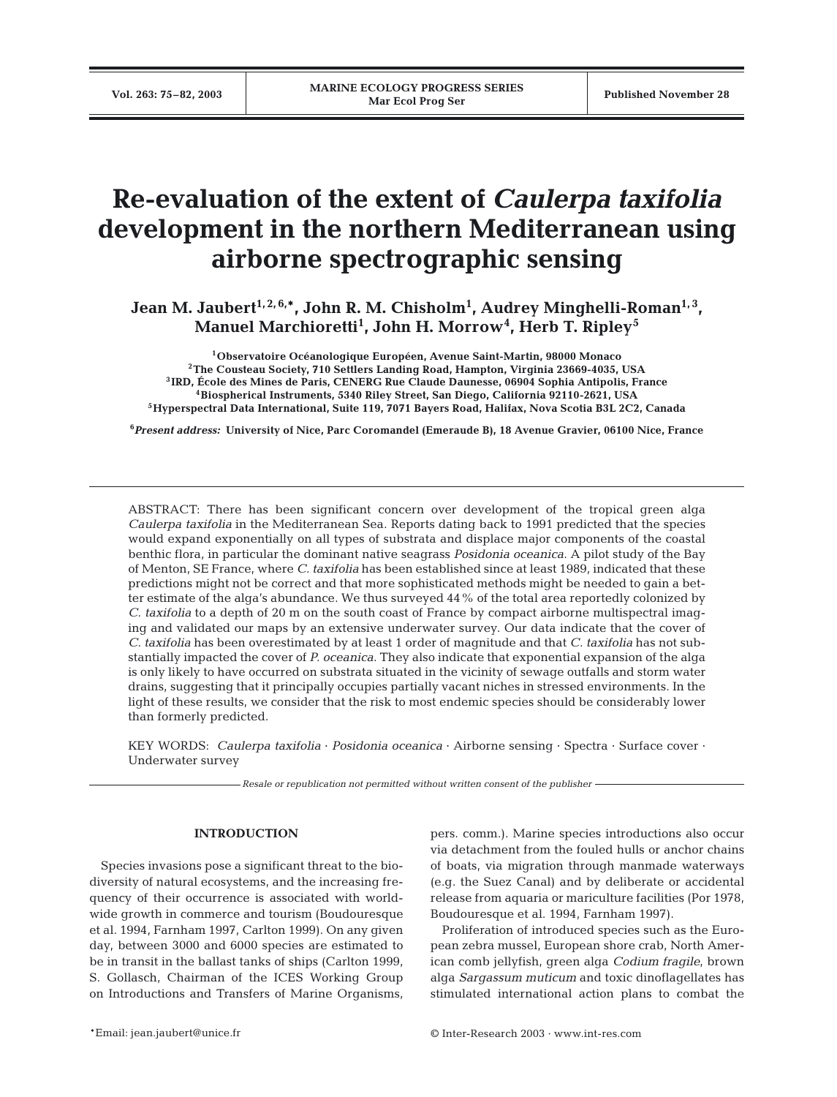# **Re-evaluation of the extent of** *Caulerpa taxifolia* **development in the northern Mediterranean using airborne spectrographic sensing**

Jean M. Jaubert<sup>1,2,6,\*</sup>, John R. M. Chisholm<sup>1</sup>, Audrey Minghelli-Roman<sup>1,3</sup>, **Manuel Marchioretti1 , John H. Morrow<sup>4</sup> , Herb T. Ripley<sup>5</sup>**

**1Observatoire Océanologique Européen, Avenue Saint-Martin, 98000 Monaco 2The Cousteau Society, 710 Settlers Landing Road, Hampton, Virginia 23669-4035, USA 3IRD, École des Mines de Paris, CENERG Rue Claude Daunesse, 06904 Sophia Antipolis, France 4Biospherical Instruments, 5340 Riley Street, San Diego, California 92110-2621, USA 5Hyperspectral Data International, Suite 119, 7071 Bayers Road, Halifax, Nova Scotia B3L 2C2, Canada**

**6** *Present address:* **University of Nice, Parc Coromandel (Emeraude B), 18 Avenue Gravier, 06100 Nice, France**

ABSTRACT: There has been significant concern over development of the tropical green alga *Caulerpa taxifolia* in the Mediterranean Sea. Reports dating back to 1991 predicted that the species would expand exponentially on all types of substrata and displace major components of the coastal benthic flora, in particular the dominant native seagrass *Posidonia oceanica*. A pilot study of the Bay of Menton, SE France, where *C. taxifolia* has been established since at least 1989, indicated that these predictions might not be correct and that more sophisticated methods might be needed to gain a better estimate of the alga's abundance. We thus surveyed 44% of the total area reportedly colonized by *C. taxifolia* to a depth of 20 m on the south coast of France by compact airborne multispectral imaging and validated our maps by an extensive underwater survey. Our data indicate that the cover of *C. taxifolia* has been overestimated by at least 1 order of magnitude and that *C. taxifolia* has not substantially impacted the cover of *P. oceanica*. They also indicate that exponential expansion of the alga is only likely to have occurred on substrata situated in the vicinity of sewage outfalls and storm water drains, suggesting that it principally occupies partially vacant niches in stressed environments. In the light of these results, we consider that the risk to most endemic species should be considerably lower than formerly predicted.

KEY WORDS: *Caulerpa taxifolia* · *Posidonia oceanica* · Airborne sensing · Spectra · Surface cover · Underwater survey

*Resale or republication not permitted without written consent of the publisher*

# **INTRODUCTION**

Species invasions pose a significant threat to the biodiversity of natural ecosystems, and the increasing frequency of their occurrence is associated with worldwide growth in commerce and tourism (Boudouresque et al. 1994, Farnham 1997, Carlton 1999). On any given day, between 3000 and 6000 species are estimated to be in transit in the ballast tanks of ships (Carlton 1999, S. Gollasch, Chairman of the ICES Working Group on Introductions and Transfers of Marine Organisms, pers. comm.). Marine species introductions also occur via detachment from the fouled hulls or anchor chains of boats, via migration through manmade waterways (e.g. the Suez Canal) and by deliberate or accidental release from aquaria or mariculture facilities (Por 1978, Boudouresque et al. 1994, Farnham 1997).

Proliferation of introduced species such as the European zebra mussel, European shore crab, North American comb jellyfish, green alga *Codium fragile*, brown alga *Sargassum muticum* and toxic dinoflagellates has stimulated international action plans to combat the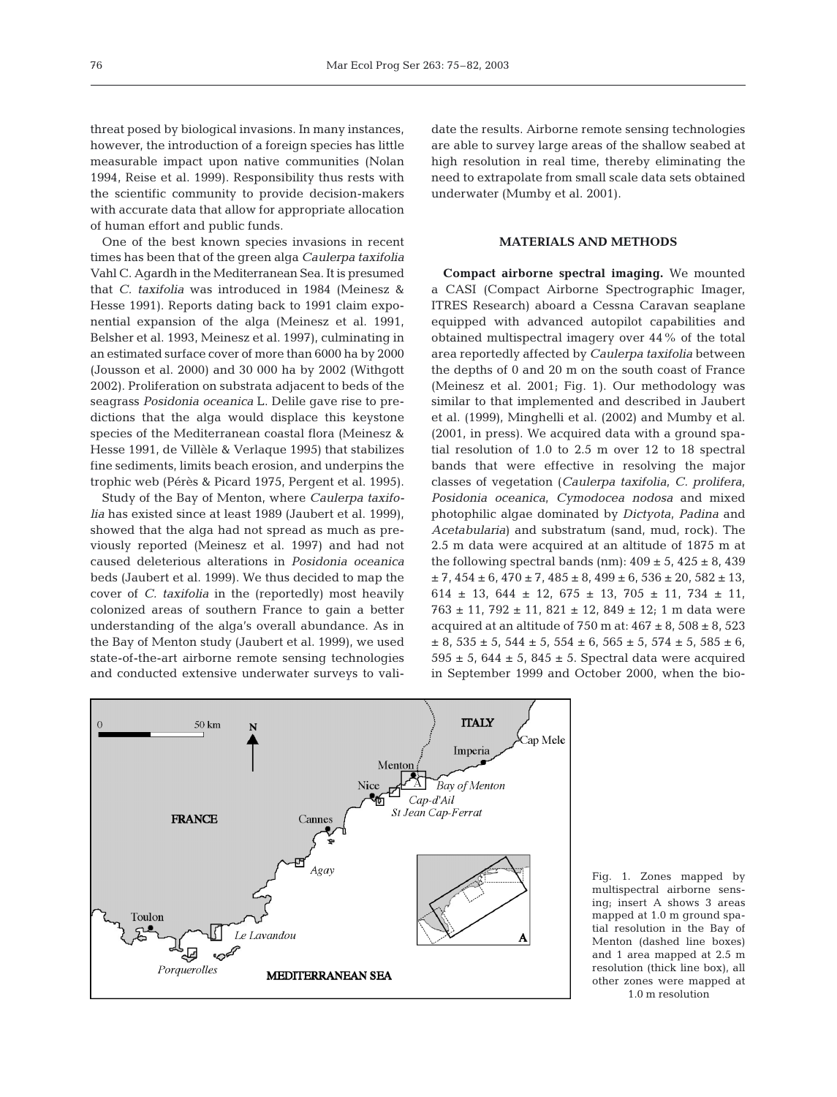threat posed by biological invasions. In many instances, however, the introduction of a foreign species has little measurable impact upon native communities (Nolan 1994, Reise et al. 1999). Responsibility thus rests with the scientific community to provide decision-makers with accurate data that allow for appropriate allocation of human effort and public funds.

One of the best known species invasions in recent times has been that of the green alga *Caulerpa taxifolia* Vahl C. Agardh in the Mediterranean Sea. It is presumed that *C. taxifolia* was introduced in 1984 (Meinesz & Hesse 1991). Reports dating back to 1991 claim exponential expansion of the alga (Meinesz et al. 1991, Belsher et al. 1993, Meinesz et al. 1997), culminating in an estimated surface cover of more than 6000 ha by 2000 (Jousson et al. 2000) and 30 000 ha by 2002 (Withgott 2002). Proliferation on substrata adjacent to beds of the seagrass *Posidonia oceanica* L. Delile gave rise to predictions that the alga would displace this keystone species of the Mediterranean coastal flora (Meinesz & Hesse 1991, de Villèle & Verlaque 1995) that stabilizes fine sediments, limits beach erosion, and underpins the trophic web (Pérès & Picard 1975, Pergent et al. 1995).

Study of the Bay of Menton, where *Caulerpa taxifolia* has existed since at least 1989 (Jaubert et al. 1999), showed that the alga had not spread as much as previously reported (Meinesz et al. 1997) and had not caused deleterious alterations in *Posidonia oceanica* beds (Jaubert et al. 1999). We thus decided to map the cover of *C. taxifolia* in the (reportedly) most heavily colonized areas of southern France to gain a better understanding of the alga's overall abundance. As in the Bay of Menton study (Jaubert et al. 1999), we used state-of-the-art airborne remote sensing technologies and conducted extensive underwater surveys to validate the results. Airborne remote sensing technologies are able to survey large areas of the shallow seabed at high resolution in real time, thereby eliminating the need to extrapolate from small scale data sets obtained underwater (Mumby et al. 2001).

# **MATERIALS AND METHODS**

**Compact airborne spectral imaging.** We mounted a CASI (Compact Airborne Spectrographic Imager, ITRES Research) aboard a Cessna Caravan seaplane equipped with advanced autopilot capabilities and obtained multispectral imagery over 44% of the total area reportedly affected by *Caulerpa taxifolia* between the depths of 0 and 20 m on the south coast of France (Meinesz et al. 2001; Fig. 1). Our methodology was similar to that implemented and described in Jaubert et al. (1999), Minghelli et al. (2002) and Mumby et al. (2001, in press). We acquired data with a ground spatial resolution of 1.0 to 2.5 m over 12 to 18 spectral bands that were effective in resolving the major classes of vegetation (*Caulerpa taxifolia*, *C. prolifera*, *Posidonia oceanica*, *Cymodocea nodosa* and mixed photophilic algae dominated by *Dictyota*, *Padina* and *Acetabularia*) and substratum (sand, mud, rock). The 2.5 m data were acquired at an altitude of 1875 m at the following spectral bands (nm):  $409 \pm 5$ ,  $425 \pm 8$ ,  $439$  $\pm$  7, 454  $\pm$  6, 470  $\pm$  7, 485  $\pm$  8, 499  $\pm$  6, 536  $\pm$  20, 582  $\pm$  13, 614  $\pm$  13, 644  $\pm$  12, 675  $\pm$  13, 705  $\pm$  11, 734  $\pm$  11,  $763 \pm 11$ ,  $792 \pm 11$ ,  $821 \pm 12$ ,  $849 \pm 12$ ; 1 m data were acquired at an altitude of 750 m at:  $467 \pm 8$ ,  $508 \pm 8$ ,  $523$  $\pm$  8, 535  $\pm$  5, 544  $\pm$  5, 554  $\pm$  6, 565  $\pm$  5, 574  $\pm$  5, 585  $\pm$  6,  $595 \pm 5$ ,  $644 \pm 5$ ,  $845 \pm 5$ . Spectral data were acquired in September 1999 and October 2000, when the bio-



Fig. 1. Zones mapped by multispectral airborne sensing; insert A shows 3 areas mapped at 1.0 m ground spatial resolution in the Bay of Menton (dashed line boxes) and 1 area mapped at 2.5 m resolution (thick line box), all other zones were mapped at 1.0 m resolution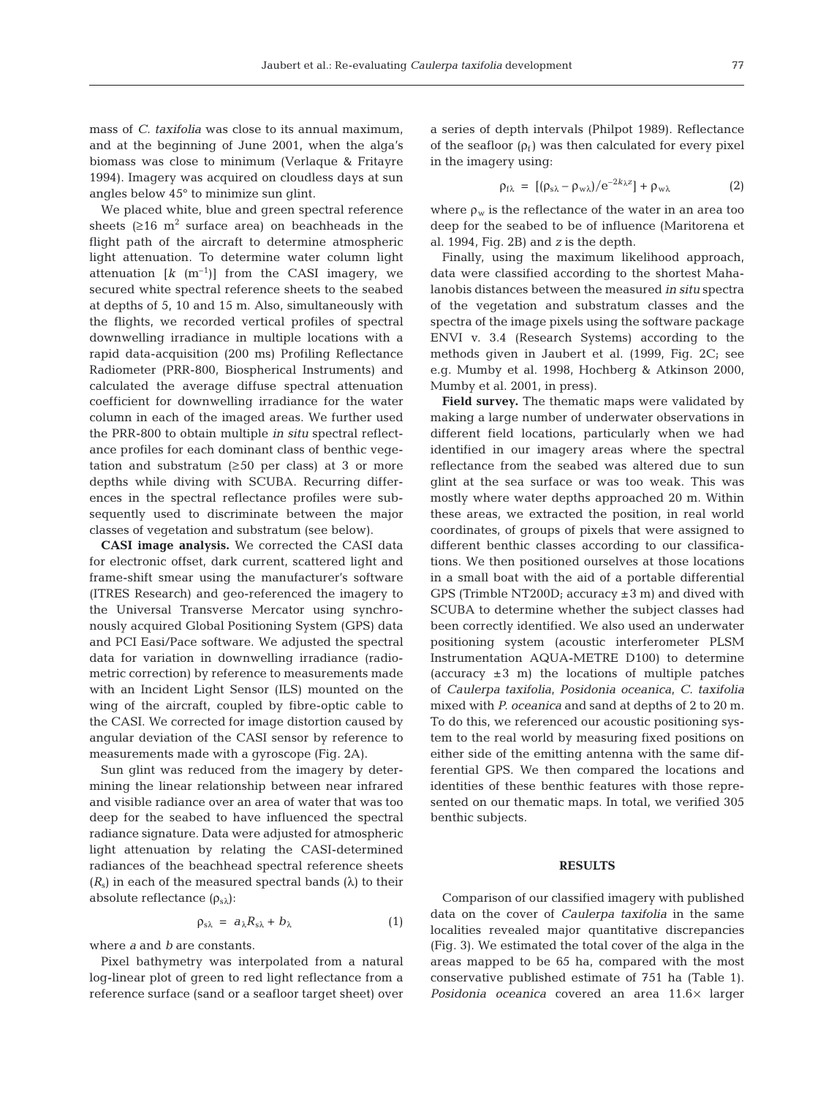mass of *C. taxifolia* was close to its annual maximum, and at the beginning of June 2001, when the alga's biomass was close to minimum (Verlaque & Fritayre 1994). Imagery was acquired on cloudless days at sun angles below 45° to minimize sun glint.

We placed white, blue and green spectral reference sheets  $(≥16 \text{ m}^2 \text{ surface area})$  on beachheads in the flight path of the aircraft to determine atmospheric light attenuation. To determine water column light attenuation  $\begin{bmatrix} k & (m^{-1}) \end{bmatrix}$  from the CASI imagery, we secured white spectral reference sheets to the seabed at depths of 5, 10 and 15 m. Also, simultaneously with the flights, we recorded vertical profiles of spectral downwelling irradiance in multiple locations with a rapid data-acquisition (200 ms) Profiling Reflectance Radiometer (PRR-800, Biospherical Instruments) and calculated the average diffuse spectral attenuation coefficient for downwelling irradiance for the water column in each of the imaged areas. We further used the PRR-800 to obtain multiple *in situ* spectral reflectance profiles for each dominant class of benthic vegetation and substratum  $(≥50$  per class) at 3 or more depths while diving with SCUBA. Recurring differences in the spectral reflectance profiles were subsequently used to discriminate between the major classes of vegetation and substratum (see below).

**CASI image analysis.** We corrected the CASI data for electronic offset, dark current, scattered light and frame-shift smear using the manufacturer's software (ITRES Research) and geo-referenced the imagery to the Universal Transverse Mercator using synchronously acquired Global Positioning System (GPS) data and PCI Easi/Pace software. We adjusted the spectral data for variation in downwelling irradiance (radiometric correction) by reference to measurements made with an Incident Light Sensor (ILS) mounted on the wing of the aircraft, coupled by fibre-optic cable to the CASI. We corrected for image distortion caused by angular deviation of the CASI sensor by reference to measurements made with a gyroscope (Fig. 2A).

Sun glint was reduced from the imagery by determining the linear relationship between near infrared and visible radiance over an area of water that was too deep for the seabed to have influenced the spectral radiance signature. Data were adjusted for atmospheric light attenuation by relating the CASI-determined radiances of the beachhead spectral reference sheets  $(R_s)$  in each of the measured spectral bands  $(\lambda)$  to their absolute reflectance  $(\rho_{s\lambda})$ :

$$
\rho_{s\lambda} = a_{\lambda} R_{s\lambda} + b_{\lambda} \tag{1}
$$

where *a* and *b* are constants.

Pixel bathymetry was interpolated from a natural log-linear plot of green to red light reflectance from a reference surface (sand or a seafloor target sheet) over

a series of depth intervals (Philpot 1989). Reflectance of the seafloor  $(\rho_f)$  was then calculated for every pixel in the imagery using:

$$
\rho_{f\lambda} = [(\rho_{s\lambda} - \rho_{w\lambda})/e^{-2k\lambda z}] + \rho_{w\lambda}
$$
 (2)

where  $\rho_w$  is the reflectance of the water in an area too deep for the seabed to be of influence (Maritorena et al. 1994, Fig. 2B) and *z* is the depth.

Finally, using the maximum likelihood approach, data were classified according to the shortest Mahalanobis distances between the measured *in situ* spectra of the vegetation and substratum classes and the spectra of the image pixels using the software package ENVI v. 3.4 (Research Systems) according to the methods given in Jaubert et al. (1999, Fig. 2C; see e.g. Mumby et al. 1998, Hochberg & Atkinson 2000, Mumby et al. 2001, in press).

**Field survey.** The thematic maps were validated by making a large number of underwater observations in different field locations, particularly when we had identified in our imagery areas where the spectral reflectance from the seabed was altered due to sun glint at the sea surface or was too weak. This was mostly where water depths approached 20 m. Within these areas, we extracted the position, in real world coordinates, of groups of pixels that were assigned to different benthic classes according to our classifications. We then positioned ourselves at those locations in a small boat with the aid of a portable differential GPS (Trimble NT200D; accuracy  $\pm 3$  m) and dived with SCUBA to determine whether the subject classes had been correctly identified. We also used an underwater positioning system (acoustic interferometer PLSM Instrumentation AQUA-METRE D100) to determine (accuracy  $\pm 3$  m) the locations of multiple patches of *Caulerpa taxifolia*, *Posidonia oceanica*, *C. taxifolia* mixed with *P. oceanica* and sand at depths of 2 to 20 m. To do this, we referenced our acoustic positioning system to the real world by measuring fixed positions on either side of the emitting antenna with the same differential GPS. We then compared the locations and identities of these benthic features with those represented on our thematic maps. In total, we verified 305 benthic subjects.

### **RESULTS**

Comparison of our classified imagery with published data on the cover of *Caulerpa taxifolia* in the same localities revealed major quantitative discrepancies (Fig. 3). We estimated the total cover of the alga in the areas mapped to be 65 ha, compared with the most conservative published estimate of 751 ha (Table 1). *Posidonia oceanica* covered an area 11.6× larger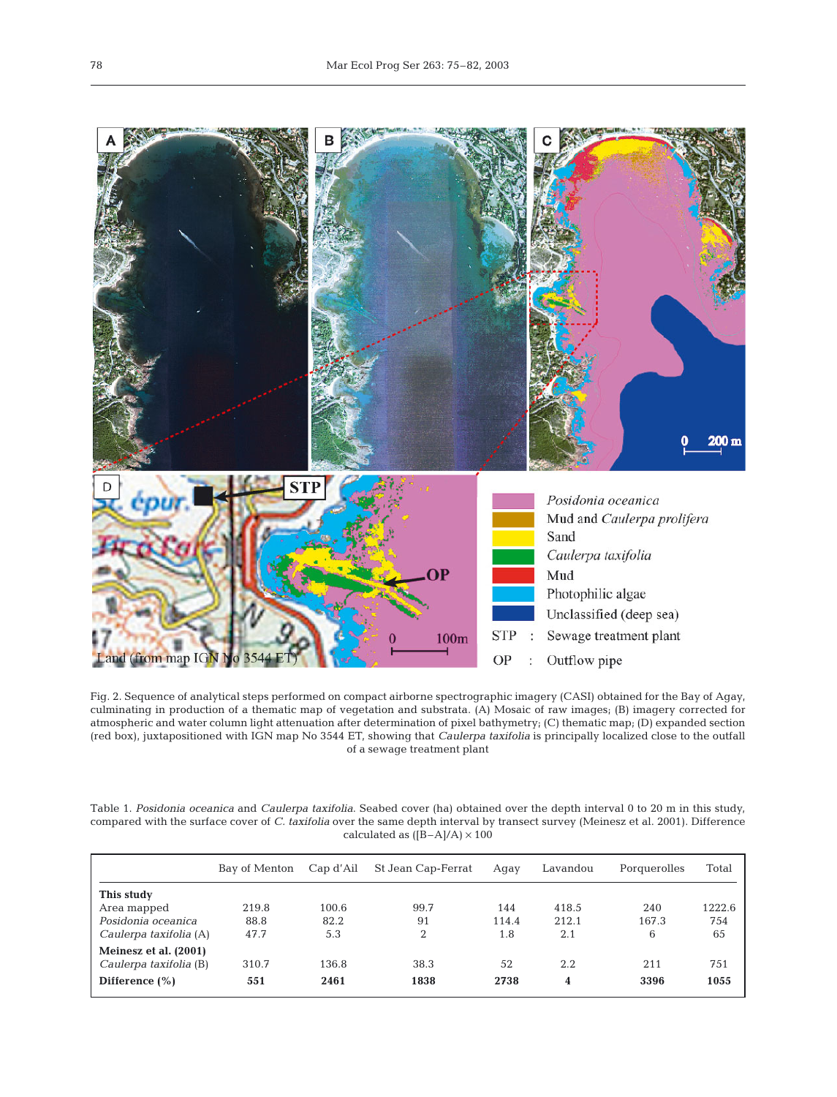

Fig. 2. Sequence of analytical steps performed on compact airborne spectrographic imagery (CASI) obtained for the Bay of Agay, culminating in production of a thematic map of vegetation and substrata. (A) Mosaic of raw images; (B) imagery corrected for atmospheric and water column light attenuation after determination of pixel bathymetry; (C) thematic map; (D) expanded section (red box), juxtapositioned with IGN map No 3544 ET, showing that *Caulerpa taxifolia* is principally localized close to the outfall of a sewage treatment plant

Table 1. *Posidonia oceanica* and *Caulerpa taxifolia*. Seabed cover (ha) obtained over the depth interval 0 to 20 m in this study, compared with the surface cover of *C. taxifolia* over the same depth interval by transect survey (Meinesz et al. 2001). Difference calculated as  $([B-A]/A) \times 100$ 

|                        | Bay of Menton | Cap d'Ail | St Jean Cap-Ferrat | Agay  | Lavandou | Porquerolles | Total  |
|------------------------|---------------|-----------|--------------------|-------|----------|--------------|--------|
| This study             |               |           |                    |       |          |              |        |
| Area mapped            | 219.8         | 100.6     | 99.7               | 144   | 418.5    | 240          | 1222.6 |
| Posidonia oceanica     | 88.8          | 82.2      | 91                 | 114.4 | 212.1    | 167.3        | 754    |
| Caulerpa taxifolia (A) | 47.7          | 5.3       | 2                  | 1.8   | 2.1      | 6            | 65     |
| Meinesz et al. (2001)  |               |           |                    |       |          |              |        |
| Caulerpa taxifolia (B) | 310.7         | 136.8     | 38.3               | 52    | 2.2      | 211          | 751    |
| Difference $(\% )$     | 551           | 2461      | 1838               | 2738  | 4        | 3396         | 1055   |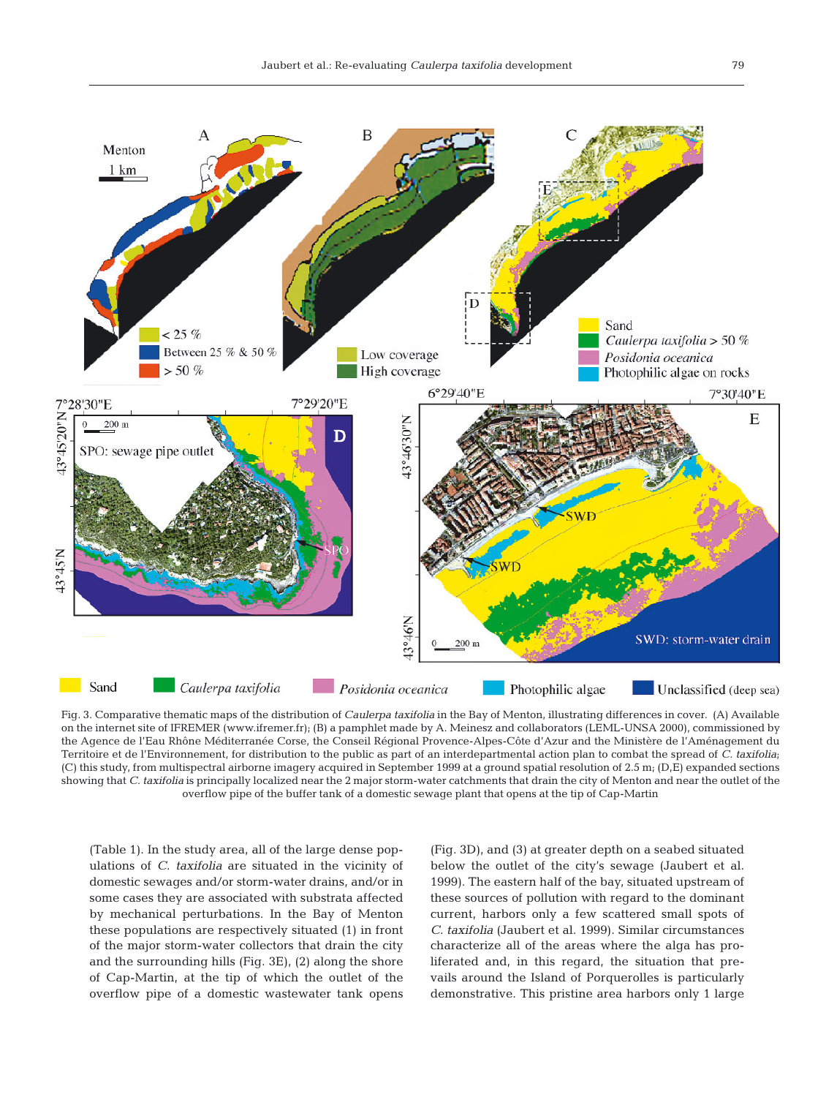

Fig. 3. Comparative thematic maps of the distribution of *Caulerpa taxifolia* in the Bay of Menton, illustrating differences in cover. (A) Available on the internet site of IFREMER (www.ifremer.fr); (B) a pamphlet made by A. Meinesz and collaborators (LEML-UNSA 2000), commissioned by the Agence de l'Eau Rhône Méditerranée Corse, the Conseil Régional Provence-Alpes-Côte d'Azur and the Ministère de l'Aménagement du Territoire et de l'Environnement, for distribution to the public as part of an interdepartmental action plan to combat the spread of *C. taxifolia*; (C) this study, from multispectral airborne imagery acquired in September 1999 at a ground spatial resolution of 2.5 m; (D,E) expanded sections showing that *C. taxifolia* is principally localized near the 2 major storm-water catchments that drain the city of Menton and near the outlet of the overflow pipe of the buffer tank of a domestic sewage plant that opens at the tip of Cap-Martin

(Table 1). In the study area, all of the large dense populations of *C. taxifolia* are situated in the vicinity of domestic sewages and/or storm-water drains, and/or in some cases they are associated with substrata affected by mechanical perturbations. In the Bay of Menton these populations are respectively situated (1) in front of the major storm-water collectors that drain the city and the surrounding hills (Fig. 3E), (2) along the shore of Cap-Martin, at the tip of which the outlet of the overflow pipe of a domestic wastewater tank opens

(Fig. 3D), and (3) at greater depth on a seabed situated below the outlet of the city's sewage (Jaubert et al. 1999). The eastern half of the bay, situated upstream of these sources of pollution with regard to the dominant current, harbors only a few scattered small spots of *C. taxifolia* (Jaubert et al. 1999). Similar circumstances characterize all of the areas where the alga has proliferated and, in this regard, the situation that prevails around the Island of Porquerolles is particularly demonstrative. This pristine area harbors only 1 large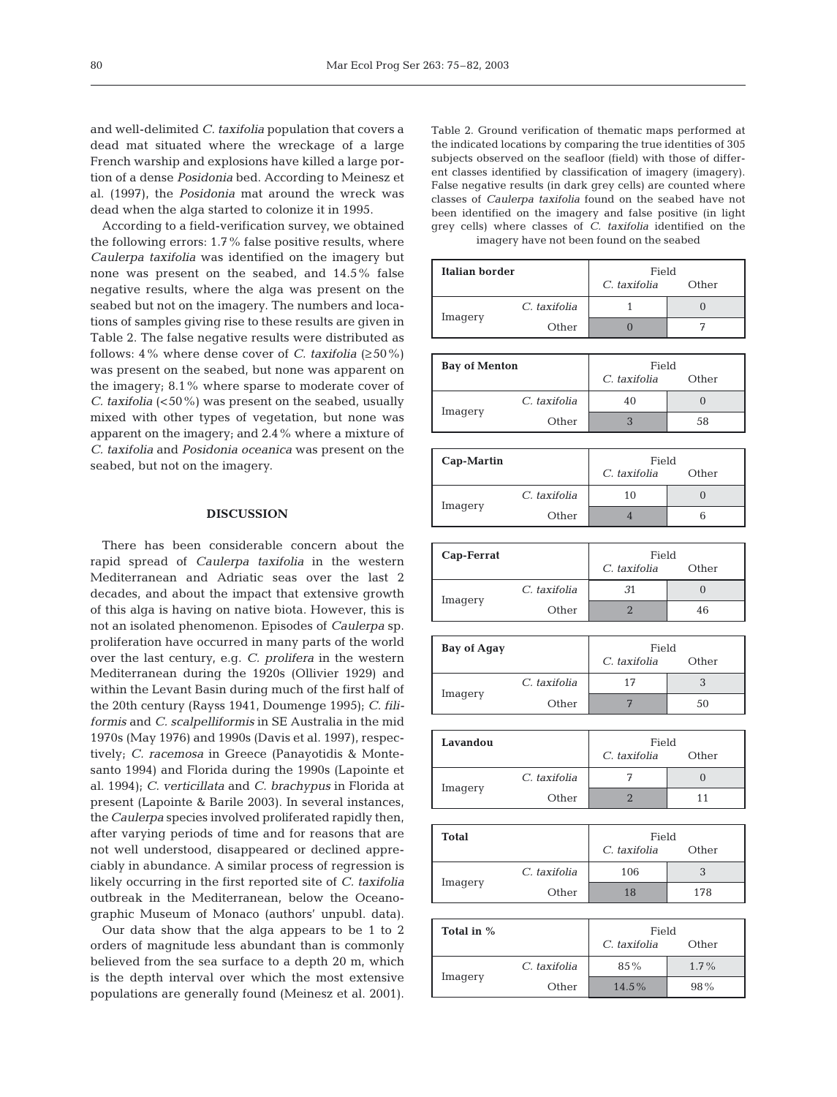and well-delimited *C. taxifolia* population that covers a dead mat situated where the wreckage of a large French warship and explosions have killed a large portion of a dense *Posidonia* bed. According to Meinesz et al. (1997), the *Posidonia* mat around the wreck was dead when the alga started to colonize it in 1995.

According to a field-verification survey, we obtained the following errors: 1.7% false positive results, where *Caulerpa taxifolia* was identified on the imagery but none was present on the seabed, and 14.5% false negative results, where the alga was present on the seabed but not on the imagery. The numbers and locations of samples giving rise to these results are given in Table 2. The false negative results were distributed as follows:  $4\%$  where dense cover of *C. taxifolia* ( $\geq 50\%$ ) was present on the seabed, but none was apparent on the imagery; 8.1% where sparse to moderate cover of *C. taxifolia* (<50%) was present on the seabed, usually mixed with other types of vegetation, but none was apparent on the imagery; and 2.4% where a mixture of *C. taxifolia* and *Posidonia oceanica* was present on the seabed, but not on the imagery.

### **DISCUSSION**

There has been considerable concern about the rapid spread of *Caulerpa taxifolia* in the western Mediterranean and Adriatic seas over the last 2 decades, and about the impact that extensive growth of this alga is having on native biota. However, this is not an isolated phenomenon. Episodes of *Caulerpa* sp. proliferation have occurred in many parts of the world over the last century, e.g. *C. prolifera* in the western Mediterranean during the 1920s (Ollivier 1929) and within the Levant Basin during much of the first half of the 20th century (Rayss 1941, Doumenge 1995); *C. filiformis* and *C. scalpelliformis* in SE Australia in the mid 1970s (May 1976) and 1990s (Davis et al. 1997), respectively; *C. racemosa* in Greece (Panayotidis & Montesanto 1994) and Florida during the 1990s (Lapointe et al. 1994); *C. verticillata* and *C. brachypus* in Florida at present (Lapointe & Barile 2003). In several instances, the *Caulerpa* species involved proliferated rapidly then, after varying periods of time and for reasons that are not well understood, disappeared or declined appreciably in abundance. A similar process of regression is likely occurring in the first reported site of *C. taxifolia* outbreak in the Mediterranean, below the Oceanographic Museum of Monaco (authors' unpubl. data).

Our data show that the alga appears to be 1 to 2 orders of magnitude less abundant than is commonly believed from the sea surface to a depth 20 m, which is the depth interval over which the most extensive populations are generally found (Meinesz et al. 2001).

Table 2. Ground verification of thematic maps performed at the indicated locations by comparing the true identities of 305 subjects observed on the seafloor (field) with those of different classes identified by classification of imagery (imagery). False negative results (in dark grey cells) are counted where classes of *Caulerpa taxifolia* found on the seabed have not been identified on the imagery and false positive (in light grey cells) where classes of *C. taxifolia* identified on the imagery have not been found on the seabed

| Italian border |              | Field        |       |  |
|----------------|--------------|--------------|-------|--|
|                |              | C. taxifolia | Other |  |
|                | C. taxifolia |              |       |  |
| Imagery        | Other        |              |       |  |

| <b>Bay of Menton</b> |              | Field        |       |  |
|----------------------|--------------|--------------|-------|--|
|                      |              | C. taxifolia | Other |  |
|                      | C. taxifolia | 40           |       |  |
| Imagery              | Other        |              | 58    |  |

| Cap-Martin |              | Field<br>C. taxifolia<br>Other |  |  |
|------------|--------------|--------------------------------|--|--|
|            | C. taxifolia | 10                             |  |  |
| Imagery    | Other        |                                |  |  |

| Cap-Ferrat |              | Field        |       |  |
|------------|--------------|--------------|-------|--|
|            |              | C. taxifolia | Other |  |
|            | C. taxifolia | .31          |       |  |
| Imagery    | Other        |              | 46    |  |

| <b>Bay of Agay</b> |              | Field        |       |  |
|--------------------|--------------|--------------|-------|--|
|                    |              | C. taxifolia | Other |  |
|                    | C. taxifolia | 17           |       |  |
| Imagery            | Other        |              | 50    |  |

| Lavandou |              | Field        |       |  |
|----------|--------------|--------------|-------|--|
|          |              | C. taxifolia | Other |  |
|          | C. taxifolia |              |       |  |
| Imagery  | Other        |              |       |  |

| <b>Total</b> |              | Field        |       |  |
|--------------|--------------|--------------|-------|--|
|              |              | C. taxifolia | Other |  |
|              | C. taxifolia | 106          |       |  |
| Imagery      | Other        | 18           | 178   |  |

| Total in % |              | Field        |         |  |
|------------|--------------|--------------|---------|--|
|            |              | C. taxifolia | Other   |  |
|            | C. taxifolia | 85%          | $1.7\%$ |  |
| Imagery    | Other        | $14.5\%$     | $98\%$  |  |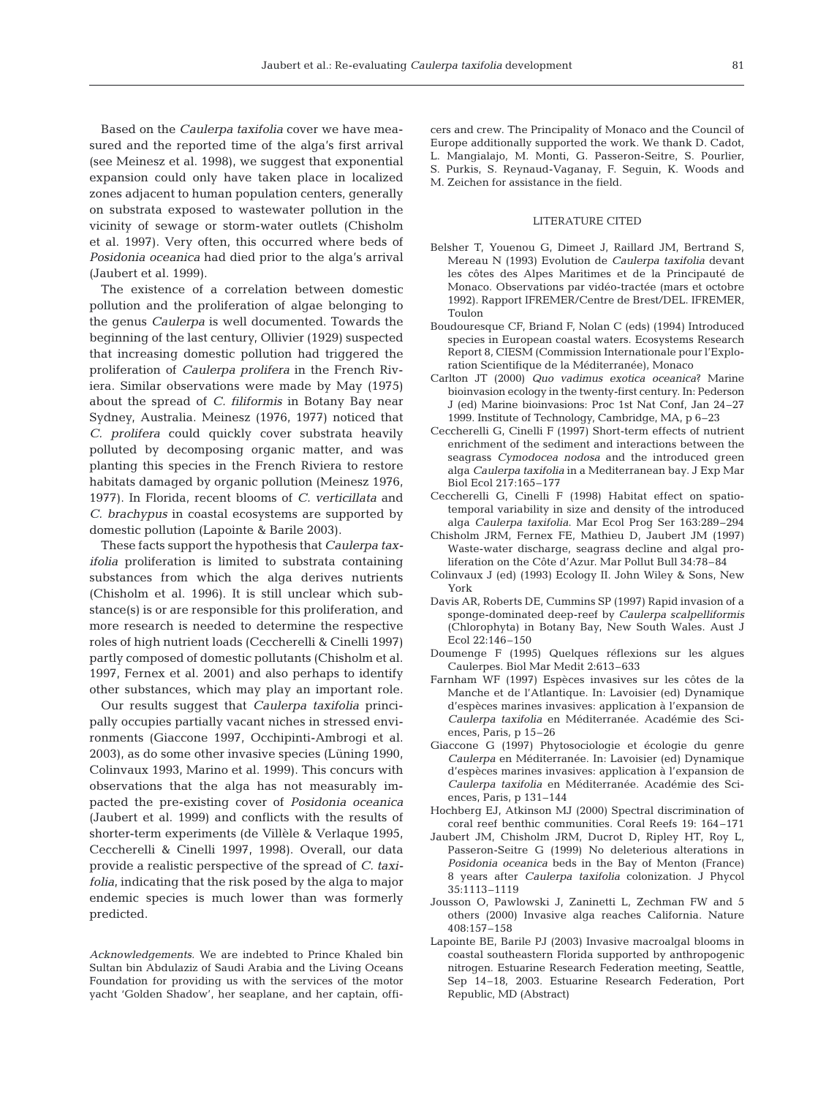Based on the *Caulerpa taxifolia* cover we have measured and the reported time of the alga's first arrival (see Meinesz et al. 1998), we suggest that exponential expansion could only have taken place in localized zones adjacent to human population centers, generally on substrata exposed to wastewater pollution in the vicinity of sewage or storm-water outlets (Chisholm et al. 1997). Very often, this occurred where beds of *Posidonia oceanica* had died prior to the alga's arrival (Jaubert et al. 1999).

The existence of a correlation between domestic pollution and the proliferation of algae belonging to the genus *Caulerpa* is well documented. Towards the beginning of the last century, Ollivier (1929) suspected that increasing domestic pollution had triggered the proliferation of *Caulerpa prolifera* in the French Riviera. Similar observations were made by May (1975) about the spread of *C. filiformis* in Botany Bay near Sydney, Australia. Meinesz (1976, 1977) noticed that *C. prolifera* could quickly cover substrata heavily polluted by decomposing organic matter, and was planting this species in the French Riviera to restore habitats damaged by organic pollution (Meinesz 1976, 1977). In Florida, recent blooms of *C. verticillata* and *C. brachypus* in coastal ecosystems are supported by domestic pollution (Lapointe & Barile 2003).

These facts support the hypothesis that *Caulerpa taxifolia* proliferation is limited to substrata containing substances from which the alga derives nutrients (Chisholm et al. 1996). It is still unclear which substance(s) is or are responsible for this proliferation, and more research is needed to determine the respective roles of high nutrient loads (Ceccherelli & Cinelli 1997) partly composed of domestic pollutants (Chisholm et al. 1997, Fernex et al. 2001) and also perhaps to identify other substances, which may play an important role.

Our results suggest that *Caulerpa taxifolia* principally occupies partially vacant niches in stressed environments (Giaccone 1997, Occhipinti-Ambrogi et al. 2003), as do some other invasive species (Lüning 1990, Colinvaux 1993, Marino et al. 1999). This concurs with observations that the alga has not measurably impacted the pre-existing cover of *Posidonia oceanica* (Jaubert et al. 1999) and conflicts with the results of shorter-term experiments (de Villèle & Verlaque 1995, Ceccherelli & Cinelli 1997, 1998). Overall, our data provide a realistic perspective of the spread of *C. taxifolia*, indicating that the risk posed by the alga to major endemic species is much lower than was formerly predicted.

*Acknowledgements.* We are indebted to Prince Khaled bin Sultan bin Abdulaziz of Saudi Arabia and the Living Oceans Foundation for providing us with the services of the motor yacht 'Golden Shadow', her seaplane, and her captain, offi-

cers and crew. The Principality of Monaco and the Council of Europe additionally supported the work. We thank D. Cadot, L. Mangialajo, M. Monti, G. Passeron-Seitre, S. Pourlier, S. Purkis, S. Reynaud-Vaganay, F. Seguin, K. Woods and M. Zeichen for assistance in the field.

#### LITERATURE CITED

- Belsher T, Youenou G, Dimeet J, Raillard JM, Bertrand S, Mereau N (1993) Evolution de *Caulerpa taxifolia* devant les côtes des Alpes Maritimes et de la Principauté de Monaco. Observations par vidéo-tractée (mars et octobre 1992). Rapport IFREMER/Centre de Brest/DEL. IFREMER, Toulon
- Boudouresque CF, Briand F, Nolan C (eds) (1994) Introduced species in European coastal waters. Ecosystems Research Report 8, CIESM (Commission Internationale pour l'Exploration Scientifique de la Méditerranée), Monaco
- Carlton JT (2000) *Quo vadimus exotica oceanica*? Marine bioinvasion ecology in the twenty-first century. In: Pederson J (ed) Marine bioinvasions: Proc 1st Nat Conf, Jan 24–27 1999. Institute of Technology, Cambridge, MA, p 6–23
- Ceccherelli G, Cinelli F (1997) Short-term effects of nutrient enrichment of the sediment and interactions between the seagrass *Cymodocea nodosa* and the introduced green alga *Caulerpa taxifolia* in a Mediterranean bay. J Exp Mar Biol Ecol 217:165–177
- Ceccherelli G, Cinelli F (1998) Habitat effect on spatiotemporal variability in size and density of the introduced alga *Caulerpa taxifolia*. Mar Ecol Prog Ser 163:289–294
- Chisholm JRM, Fernex FE, Mathieu D, Jaubert JM (1997) Waste-water discharge, seagrass decline and algal proliferation on the Côte d'Azur. Mar Pollut Bull 34:78–84
- Colinvaux J (ed) (1993) Ecology II. John Wiley & Sons, New York
- Davis AR, Roberts DE, Cummins SP (1997) Rapid invasion of a sponge-dominated deep-reef by *Caulerpa scalpelliformis* (Chlorophyta) in Botany Bay, New South Wales. Aust J Ecol 22:146–150
- Doumenge F (1995) Quelques réflexions sur les algues Caulerpes. Biol Mar Medit 2:613–633
- Farnham WF (1997) Espèces invasives sur les côtes de la Manche et de l'Atlantique. In: Lavoisier (ed) Dynamique d'espèces marines invasives: application à l'expansion de *Caulerpa taxifolia* en Méditerranée. Académie des Sciences, Paris, p 15–26
- Giaccone G (1997) Phytosociologie et écologie du genre *Caulerpa* en Méditerranée. In: Lavoisier (ed) Dynamique d'espèces marines invasives: application à l'expansion de *Caulerpa taxifolia* en Méditerranée. Académie des Sciences, Paris, p 131–144
- Hochberg EJ, Atkinson MJ (2000) Spectral discrimination of coral reef benthic communities. Coral Reefs 19: 164–171
- Jaubert JM, Chisholm JRM, Ducrot D, Ripley HT, Roy L, Passeron-Seitre G (1999) No deleterious alterations in *Posidonia oceanica* beds in the Bay of Menton (France) 8 years after *Caulerpa taxifolia* colonization. J Phycol 35:1113–1119
- Jousson O, Pawlowski J, Zaninetti L, Zechman FW and 5 others (2000) Invasive alga reaches California. Nature 408:157–158
- Lapointe BE, Barile PJ (2003) Invasive macroalgal blooms in coastal southeastern Florida supported by anthropogenic nitrogen. Estuarine Research Federation meeting, Seattle, Sep 14–18, 2003. Estuarine Research Federation, Port Republic, MD (Abstract)